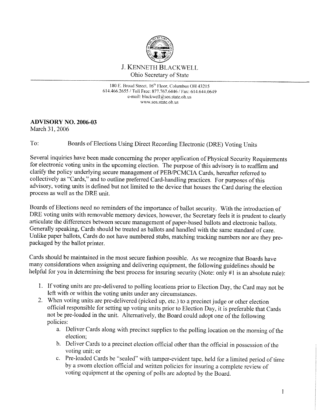

180 E. Broad Street, 16<sup>th</sup> Floor, Columbus OH 43215 614.466.2655 / Toll Free: 877.767.6446 / Fax: 614.644.0649 e-mail: blackwell $@$ sos.state.oh.us WWW.SOS.state.oh.us

## **ADVISORY NO. 2006-03**

March 31, 2006

## To: Boards of Elections Using Direct Recording Electronic (DRE) Voting Units

Several inquiries have been made concerning the proper application of Physical Security Requirements for electronic voting units in the upcoming election. The purpose of this advisory is to reaffirm and clarify the policy underlying secure management of PEB/PCMCIA Cards, hereafter referred to collectively as "Cards," and to outline preferred Card-handling practices. For purposes of this advisory, voting units is defined but not limited to the device that houses the Card during the election process as well as the DRE unit.

Boards of Elections need no reminders of the importance of ballot security. With the introduction of DRE voting units with removable memory devices, however, the Secretary feels it is prudent to clearly articulate the differences between secure management of paper-based ballots and electronic ballots. Generally speaking, Cards should be treated as ballots and handled with the same standard of care. Unlike paper ballots, Cards do not have numbered stubs, matching tracking numbers nor are they prepackaged by the ballot printer.

Cards should be maintained in the most secure fashion possible. As we recognize that Boards have many considerations when assigning and delivering equipment, the following guidelines should be helpful for you in determining the best process for insuring security (Note: only #1 is an absolute rule):

- 1. If voting units are pre-delivered to polling locations prior to Election Day, the Card may not be left with or within the voting units under any circumstances.
- 2. When voting units are pre-delivered (picked up, etc.) to a precinct judge or other election official responsible for setting up voting units prior to Election Day, it is preferable that Cards not be pre-loaded in the unit. Alternatively, the Board could adopt one of the following policies:
	- a. Deliver Cards along with precinct supplies to the polling location on the morning of the election;
	- b. Deliver Cards to a precinct election official other than the official in possession of the voting unit; or
	- c. Pre-loaded Cards be "sealed" with tamper-evident tape, held for a limited period of time by a sworn election official and written policies for insuring a complete review of voting equipment at the opening of polls are adopted by the Board.

 $\mathbf{1}$